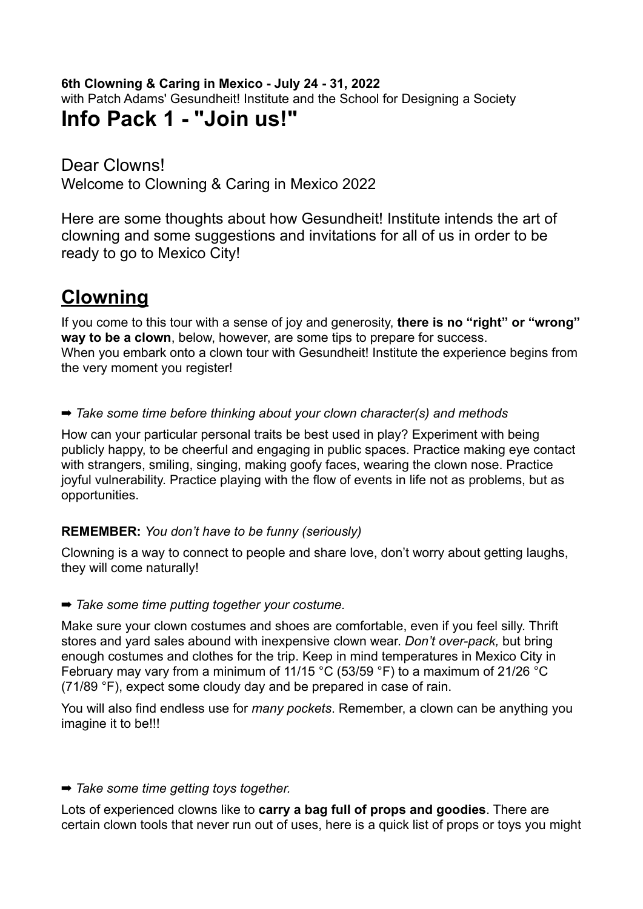#### **6th Clowning & Caring in Mexico - July 24 - 31, 2022**

with Patch Adams' Gesundheit! Institute and the School for Designing a Society

### **Info Pack 1 - "Join us!"**

Dear Clowns! Welcome to Clowning & Caring in Mexico 2022

Here are some thoughts about how Gesundheit! Institute intends the art of clowning and some suggestions and invitations for all of us in order to be ready to go to Mexico City!

## **Clowning**

If you come to this tour with a sense of joy and generosity, **there is no "right" or "wrong" way to be a clown**, below, however, are some tips to prepare for success. When you embark onto a clown tour with Gesundheit! Institute the experience begins from the very moment you register!

➡ *Take some time before thinking about your clown character(s) and methods*

How can your particular personal traits be best used in play? Experiment with being publicly happy, to be cheerful and engaging in public spaces. Practice making eye contact with strangers, smiling, singing, making goofy faces, wearing the clown nose. Practice joyful vulnerability. Practice playing with the flow of events in life not as problems, but as opportunities.

#### **REMEMBER:** *You don't have to be funny (seriously)*

Clowning is a way to connect to people and share love, don't worry about getting laughs, they will come naturally!

#### ➡ *Take some time putting together your costume.*

Make sure your clown costumes and shoes are comfortable, even if you feel silly. Thrift stores and yard sales abound with inexpensive clown wear. *Don't over-pack,* but bring enough costumes and clothes for the trip. Keep in mind temperatures in Mexico City in February may vary from a minimum of 11/15 °C (53/59 °F) to a maximum of 21/26 °C (71/89 °F), expect some cloudy day and be prepared in case of rain.

You will also find endless use for *many pockets*. Remember, a clown can be anything you imagine it to be!!!

#### ➡ *Take some time getting toys together.*

Lots of experienced clowns like to **carry a bag full of props and goodies**. There are certain clown tools that never run out of uses, here is a quick list of props or toys you might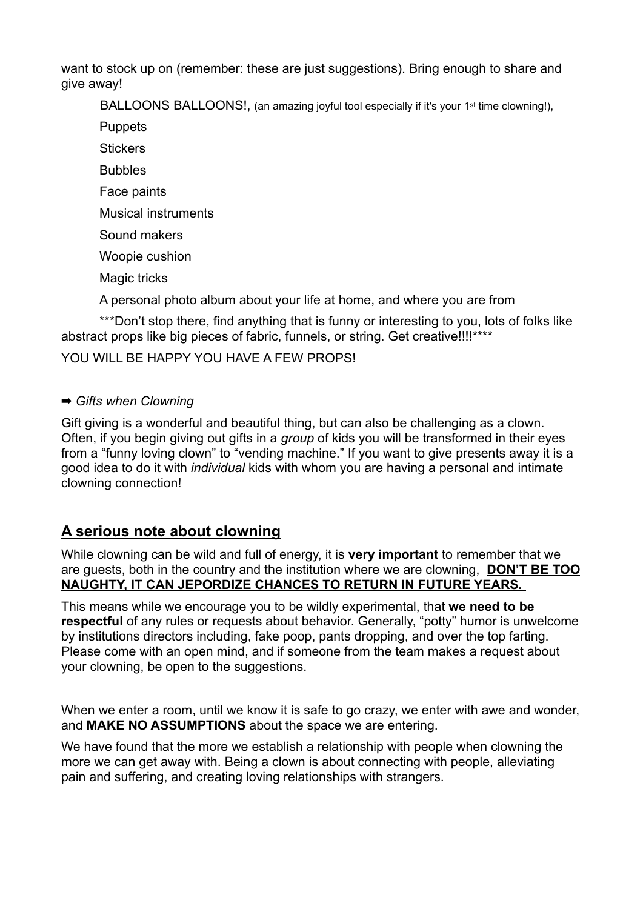want to stock up on (remember: these are just suggestions). Bring enough to share and give away!

BALLOONS BALLOONS!, (an amazing joyful tool especially if it's your 1<sup>st</sup> time clowning!),

**Puppets** 

**Stickers** 

Bubbles

Face paints

Musical instruments

Sound makers

Woopie cushion

Magic tricks

A personal photo album about your life at home, and where you are from

\*\*\*Don't stop there, find anything that is funny or interesting to you, lots of folks like abstract props like big pieces of fabric, funnels, or string. Get creative!!!!\*\*\*\*

#### YOU WILL BE HAPPY YOU HAVE A FEW PROPS!

#### ➡ *Gifts when Clowning*

Gift giving is a wonderful and beautiful thing, but can also be challenging as a clown. Often, if you begin giving out gifts in a *group* of kids you will be transformed in their eyes from a "funny loving clown" to "vending machine." If you want to give presents away it is a good idea to do it with *individual* kids with whom you are having a personal and intimate clowning connection!

#### **A serious note about clowning**

While clowning can be wild and full of energy, it is **very important** to remember that we are guests, both in the country and the institution where we are clowning, **DON'T BE TOO NAUGHTY, IT CAN JEPORDIZE CHANCES TO RETURN IN FUTURE YEARS.** 

This means while we encourage you to be wildly experimental, that **we need to be respectful** of any rules or requests about behavior. Generally, "potty" humor is unwelcome by institutions directors including, fake poop, pants dropping, and over the top farting. Please come with an open mind, and if someone from the team makes a request about your clowning, be open to the suggestions.

When we enter a room, until we know it is safe to go crazy, we enter with awe and wonder, and **MAKE NO ASSUMPTIONS** about the space we are entering.

We have found that the more we establish a relationship with people when clowning the more we can get away with. Being a clown is about connecting with people, alleviating pain and suffering, and creating loving relationships with strangers.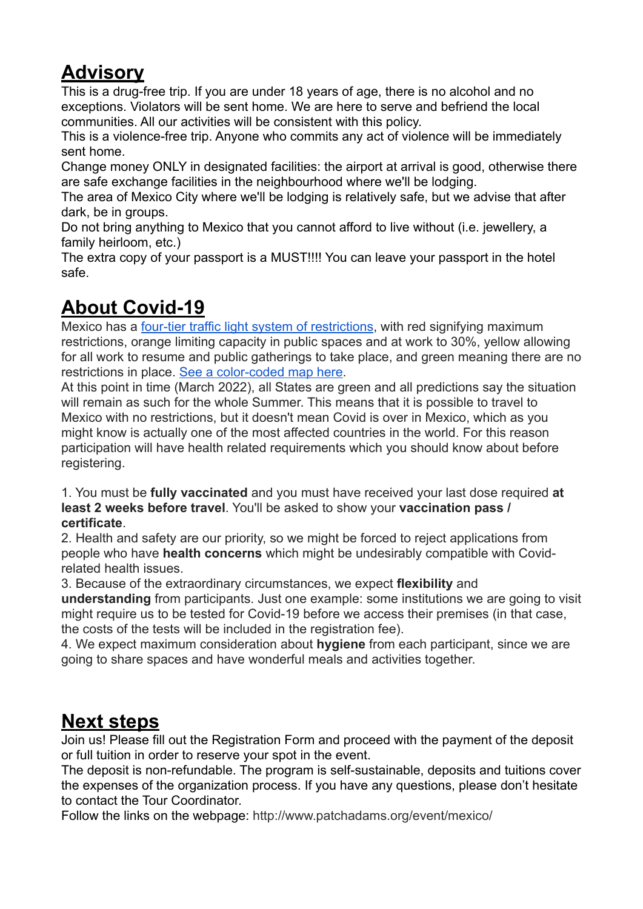## **Advisory**

This is a drug-free trip. If you are under 18 years of age, there is no alcohol and no exceptions. Violators will be sent home. We are here to serve and befriend the local communities. All our activities will be consistent with this policy.

This is a violence-free trip. Anyone who commits any act of violence will be immediately sent home.

Change money ONLY in designated facilities: the airport at arrival is good, otherwise there are safe exchange facilities in the neighbourhood where we'll be lodging.

The area of Mexico City where we'll be lodging is relatively safe, but we advise that after dark, be in groups.

Do not bring anything to Mexico that you cannot afford to live without (i.e. jewellery, a family heirloom, etc.)

The extra copy of your passport is a MUST!!!! You can leave your passport in the hotel safe.

# **About Covid-19**

Mexico has a [four-tier traffic light system of restrictions,](https://coronavirus.gob.mx/semaforo/) with red signifying maximum restrictions, orange limiting capacity in public spaces and at work to 30%, yellow allowing for all work to resume and public gatherings to take place, and green meaning there are no restrictions in place. [See a color-coded map here.](https://datos.covid-19.conacyt.mx/#SemaFE)

At this point in time (March 2022), all States are green and all predictions say the situation will remain as such for the whole Summer. This means that it is possible to travel to Mexico with no restrictions, but it doesn't mean Covid is over in Mexico, which as you might know is actually one of the most affected countries in the world. For this reason participation will have health related requirements which you should know about before registering.

1. You must be **fully vaccinated** and you must have received your last dose required **at least 2 weeks before travel**. You'll be asked to show your **vaccination pass / certificate**.

2. Health and safety are our priority, so we might be forced to reject applications from people who have **health concerns** which might be undesirably compatible with Covidrelated health issues.

3. Because of the extraordinary circumstances, we expect **flexibility** and

**understanding** from participants. Just one example: some institutions we are going to visit might require us to be tested for Covid-19 before we access their premises (in that case, the costs of the tests will be included in the registration fee).

4. We expect maximum consideration about **hygiene** from each participant, since we are going to share spaces and have wonderful meals and activities together.

## **Next steps**

Join us! Please fill out the Registration Form and proceed with the payment of the deposit or full tuition in order to reserve your spot in the event.

The deposit is non-refundable. The program is self-sustainable, deposits and tuitions cover the expenses of the organization process. If you have any questions, please don't hesitate to contact the Tour Coordinator.

Follow the links on the webpage: http://www.patchadams.org/event/mexico/